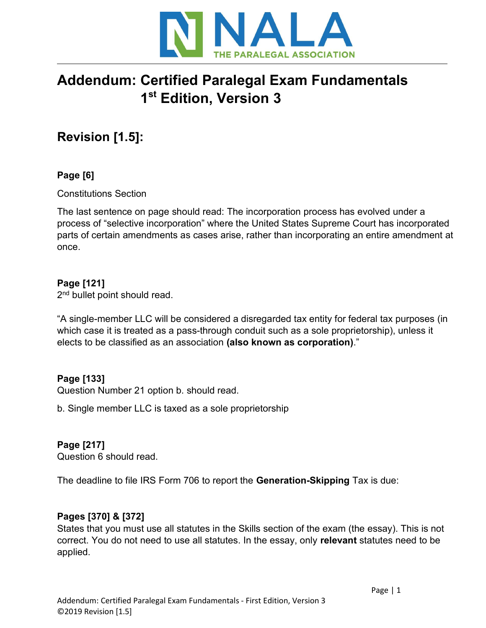

# Addendum: Certified Paralegal Exam Fundamentals 1st Edition, Version 3

## Revision [1.5]:

## Page [6]

Constitutions Section

The last sentence on page should read: The incorporation process has evolved under a process of "selective incorporation" where the United States Supreme Court has incorporated parts of certain amendments as cases arise, rather than incorporating an entire amendment at once.

## Page [121]

2<sup>nd</sup> bullet point should read.

"A single-member LLC will be considered a disregarded tax entity for federal tax purposes (in which case it is treated as a pass-through conduit such as a sole proprietorship), unless it elects to be classified as an association (also known as corporation)."

## Page [133]

Question Number 21 option b. should read.

b. Single member LLC is taxed as a sole proprietorship

## Page [217]

Question 6 should read.

The deadline to file IRS Form 706 to report the Generation-Skipping Tax is due:

#### Pages [370] & [372]

States that you must use all statutes in the Skills section of the exam (the essay). This is not correct. You do not need to use all statutes. In the essay, only relevant statutes need to be applied.